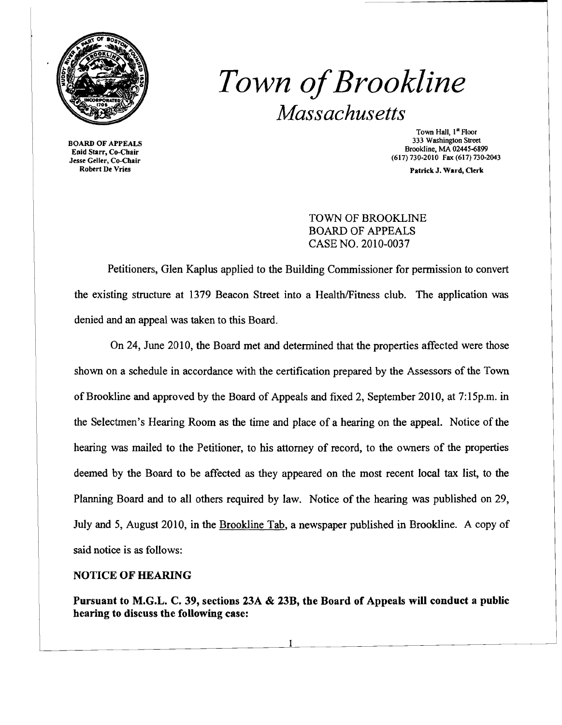

## *Town ofBrookline Massachusetts*

BOARD OF APPEALS Epid Starr, Co-Chair Jesse Geller, Co-Chair Robert De Vries

Town Hall, 1<sup>st</sup> Floor 333 Washington Street Brookline. MA 02445-6899 (617) 730-2010 Fax (617) 730-2043

Patrick J. Ward, Clerk

TOWN OF BROOKLINE BOARD OF APPEALS CASE NO. 2010-0037

Petitioners, Glen Kaplus applied to the Building Commissioner for permission to convert the existing structure at 1379 Beacon Street into a Health/Fitness club. The application was denied and an appeal was taken to this Board.

On 24, June 2010, the Board met and detennined that the properties affected were those shown on a schedule in accordance with the certification prepared by the Assessors of the Town of Brookline and approved by the Board of Appeals and fixed 2, September 2010, at 7:15p.m. in the Selectmen's Hearing Room as the time and place of a hearing on the appeal. Notice of the hearing was mailed to the Petitioner, to his attorney of record, to the owners of the properties deemed by the Board to be affected as they appeared on the most recent local tax list, to the Planning Board and to all others required by law. Notice of the hearing was published on 29, July and 5, August 2010, in the Brookline Tab, a newspaper published in Brookline. A copy of said notice is as follows:

## NOTICE OF HEARING

Pursuant to M.G.L. C. 39, sections 23A & 23B, the Board of Appeals will conduct a public hearing to discuss the following case: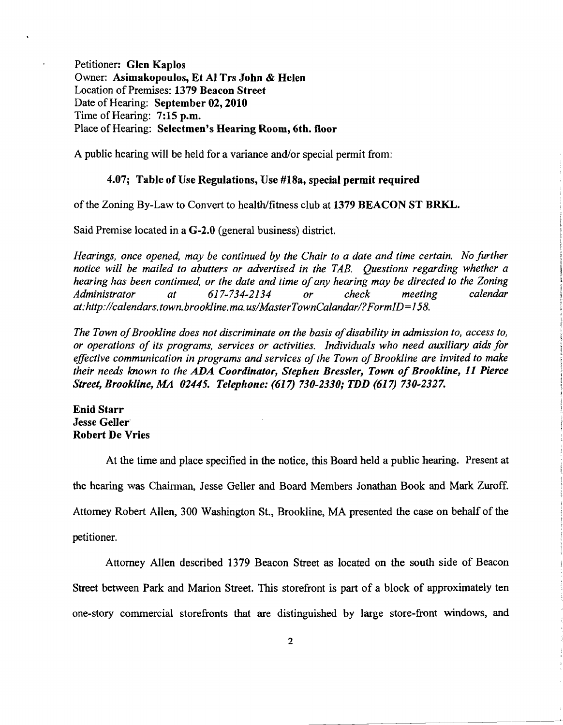Petitioner: Glen Kaplos Owner: Asimakopoulos, Et Al Trs John & Helen Location of Premises: 1379 Beacon Street Date of Hearing: September 02, 2010 Time of Hearing: 7:15 p.m. Place of Hearing: Selectmen's Hearing Room, 6th. floor

A public hearing will be held for a variance and/or special permit from:

## 4.07; Table of Use Regulations, Use #18a, special permit required

of the Zoning By-Law to Convert to health/fitness club at 1379 BEACON ST BRKL.

Said Premise located in a G-2.0 (general business) district.

*Hearings, once opened, may be continued by the Chair to a date and time certain. No further notice will be mailed to abutters or advertised in the TAB. Questions regarding whether a hearing has been continued, or the date and time of any hearing may be directed to the Zoning <br>Administrator* at 617-734-2134 or check meeting calendar Administrator at 617-734-2134 or check meeting *at:http://calendars.town.brookline.ma.usIMasterTownCalandarl?FormID=158.* 

The Town of Brookline does not discriminate on the basis of disability in admission to, access to, *or operations of its programs, services or activities. Individuals who need auxiliary aids for*  effective communication in programs and services of the Town of Brookline are invited to make *their needs known to the ADA Coordinator, Stephen Bressler, Town of Brookline,* 11 *Pierce Street, Brookline, MA 02445. Telephone:* (617) *730-2330; TDD* (617) *730-2327.* 

Enid Starr Jesse Geller Robert De Vries

At the time and place specified in the notice, this Board held a public hearing. Present at the hearing was Chairman, Jesse Geller and Board Members Jonathan Book and Mark Zuroff. Attorney Robert Allen, 300 Washington St., Brookline, MA presented the case on behalf of the petitioner.

Attorney Allen described 1379 Beacon Street as located on the south side of Beacon Street between Park and Marion Street. This storefront is part of a block of approximately ten one-story commercial storefronts that are distinguished by large store-front windows, and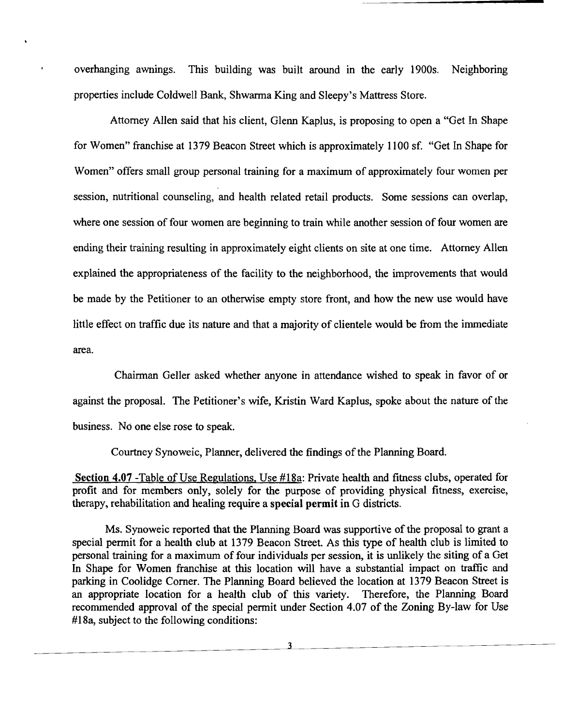overhanging awnings. This building was built around in the early 1900s. Neighboring properties include Coldwell Bank, Shwarma King and Sleepy's Mattress Store.

Attorney Allen said that his client, Glenn Kaplus, is proposing to open a "Get In Shape for Women" franchise at 1379 Beacon Street which is approximately 1100 sf. "Get In Shape for Women" offers small group personal training for a maximum of approximately four women per session, nutritional counseling, and health related retail products. Some sessions can overlap, where one session of four women are beginning to train while another session of four women are ending their training resulting in approximately eight clients on site at one time. Attorney Allen explained the appropriateness of the facility to the neighborhood, the improvements that would be made by the Petitioner to an otherwise empty store front, and how the new use would have little effect on traffic due its nature and that a majority of clientele would be from the immediate area.

Chairman Geller asked whether anyone in attendance wished to speak in favor of or against the proposal. The Petitioner's wife, Kristin Ward Kaplus, spoke about the nature of the business. No one else rose to speak.

Courtney Synoweic, Planner, delivered the findings of the Planning Board.

Section 4.07 -Table of Use Regulations, Use #18a: Private health and fitness clubs, operated for profit and for members only, solely for the purpose of providing physical fitness, exercise, therapy, rehabilitation and healing require a special permit in G districts.

Ms. Synoweic reported that the Planning Board was supportive of the proposal to grant a special permit for a health club at 1379 Beacon Street. As this type of health club is limited to personal training for a maximum of four individuals per session, it is unlikely the siting of a Get In Shape for Women franchise at this location will have a substantial impact on traffic and parking in Coolidge Comer. The Planning Board believed the location at 1379 Beacon Street is an appropriate location for a health club of this variety. Therefore, the Planning Board recommended approval of the special permit under Section 4.07 of the Zoning By-law for Use #18a, subject to the following conditions:

3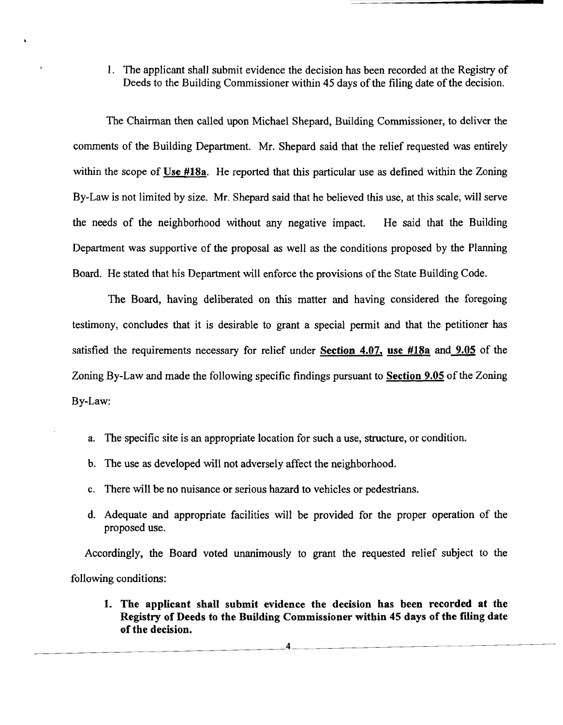1. The applicant shall submit evidence the decision has been recorded at the Registry of Deeds to the Building Commissioner within 45 days of the filing date of the decision.

The Chairman then called upon Michael Shepard, Building Commissioner, to deliver the comments of the Building Department. Mr. Shepard said that the relief requested was entirely within the scope of Use #18a. He reported that this particular use as defined within the Zoning By-Law is not limited by size. Mr. Shepard said that he believed this use, at this scale, will serve the needs of the neighborhood without any negative impact. He said that the Building Department was supportive of the proposal as well as the conditions proposed by the Planning Board. He stated that his Department will enforce the provisions of the State Building Code.

The Board, having deliberated on this matter and having considered the foregoing testimony, concludes that it is desirable to grant a special pennit and that the petitioner has satisfied the requirements necessary for relief under Section 4.07, use #18a and 9.05 of the Zoning By-Law and made the following specific findings pursuant to **Section 9.05** of the Zoning By-Law:

- a. The specific site is an appropriate location for such a use, structure, or condition.
- b. The use as developed will not adversely affect the neighborhood.
- c. There will be no nuisance or serious hazard to vehicles or pedestrians.
- d. Adequate and appropriate facilities will be provided for the proper operation of the proposed use.

Accordingly, the Board voted unanimously to grant the requested relief subject to the following conditions:

1. The applicant shall submit evidence the decision has been recorded at the Registry of Deeds to the Building Commissioner within 45 days of the filing date of the decision.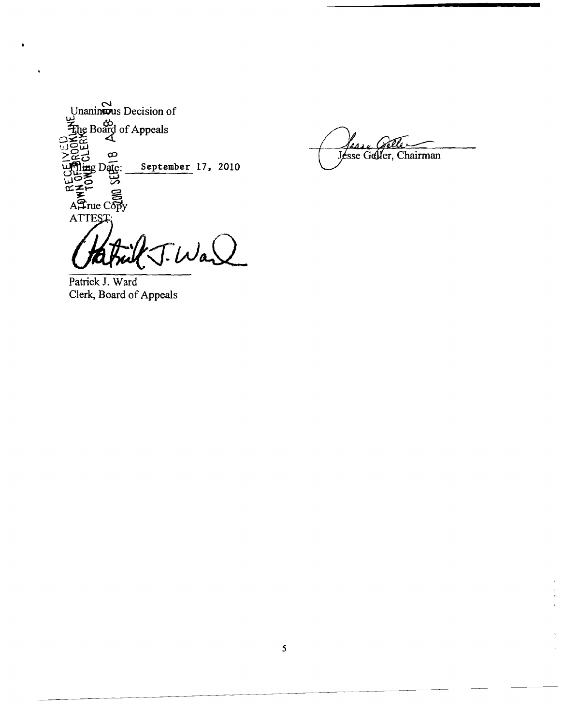

J.War

۷A. Jesse Geller, Chairman

 $\begin{bmatrix} 1 \\ 2 \\ 3 \\ 4 \end{bmatrix}$ 

÷.

Patrick J. Ward Clerk, Board of Appeals